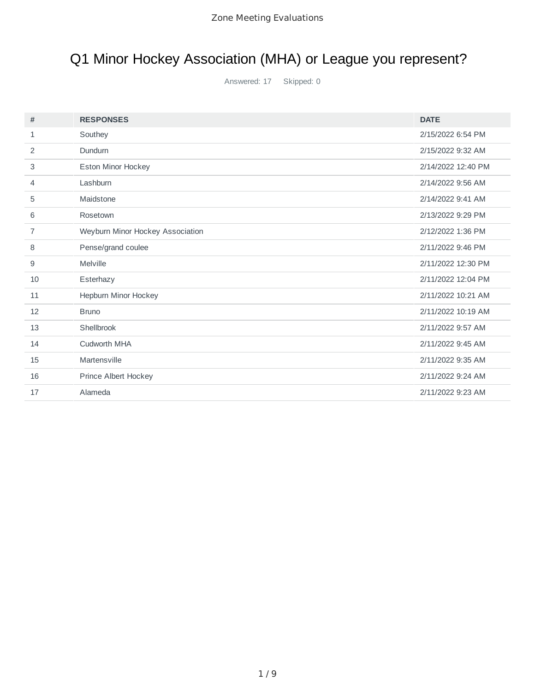# Q1 Minor Hockey Association (MHA) or League you represent?

| #            | <b>RESPONSES</b>                 | <b>DATE</b>        |
|--------------|----------------------------------|--------------------|
| $\mathbf{1}$ | Southey                          | 2/15/2022 6:54 PM  |
| 2            | Dundurn                          | 2/15/2022 9:32 AM  |
| 3            | Eston Minor Hockey               | 2/14/2022 12:40 PM |
| 4            | Lashburn                         | 2/14/2022 9:56 AM  |
| 5            | Maidstone                        | 2/14/2022 9:41 AM  |
| 6            | Rosetown                         | 2/13/2022 9:29 PM  |
| 7            | Weyburn Minor Hockey Association | 2/12/2022 1:36 PM  |
| 8            | Pense/grand coulee               | 2/11/2022 9:46 PM  |
| 9            | Melville                         | 2/11/2022 12:30 PM |
| 10           | Esterhazy                        | 2/11/2022 12:04 PM |
| 11           | Hepburn Minor Hockey             | 2/11/2022 10:21 AM |
| 12           | <b>Bruno</b>                     | 2/11/2022 10:19 AM |
| 13           | Shellbrook                       | 2/11/2022 9:57 AM  |
| 14           | Cudworth MHA                     | 2/11/2022 9:45 AM  |
| 15           | Martensville                     | 2/11/2022 9:35 AM  |
| 16           | Prince Albert Hockey             | 2/11/2022 9:24 AM  |
| 17           | Alameda                          | 2/11/2022 9:23 AM  |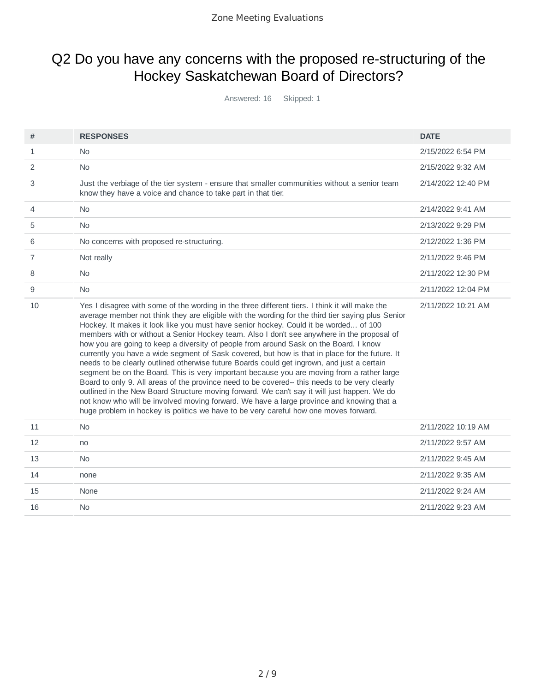### Q2 Do you have any concerns with the proposed re-structuring of the Hockey Saskatchewan Board of Directors?

| #              | <b>RESPONSES</b>                                                                                                                                                                                                                                                                                                                                                                                                                                                                                                                                                                                                                                                                                                                                                                                                                                                                                                                                                                                                                                                                                                                                                      | <b>DATE</b>        |
|----------------|-----------------------------------------------------------------------------------------------------------------------------------------------------------------------------------------------------------------------------------------------------------------------------------------------------------------------------------------------------------------------------------------------------------------------------------------------------------------------------------------------------------------------------------------------------------------------------------------------------------------------------------------------------------------------------------------------------------------------------------------------------------------------------------------------------------------------------------------------------------------------------------------------------------------------------------------------------------------------------------------------------------------------------------------------------------------------------------------------------------------------------------------------------------------------|--------------------|
| 1              | No                                                                                                                                                                                                                                                                                                                                                                                                                                                                                                                                                                                                                                                                                                                                                                                                                                                                                                                                                                                                                                                                                                                                                                    | 2/15/2022 6:54 PM  |
| 2              | No                                                                                                                                                                                                                                                                                                                                                                                                                                                                                                                                                                                                                                                                                                                                                                                                                                                                                                                                                                                                                                                                                                                                                                    | 2/15/2022 9:32 AM  |
| 3              | Just the verbiage of the tier system - ensure that smaller communities without a senior team<br>know they have a voice and chance to take part in that tier.                                                                                                                                                                                                                                                                                                                                                                                                                                                                                                                                                                                                                                                                                                                                                                                                                                                                                                                                                                                                          | 2/14/2022 12:40 PM |
| 4              | No                                                                                                                                                                                                                                                                                                                                                                                                                                                                                                                                                                                                                                                                                                                                                                                                                                                                                                                                                                                                                                                                                                                                                                    | 2/14/2022 9:41 AM  |
| 5              | No                                                                                                                                                                                                                                                                                                                                                                                                                                                                                                                                                                                                                                                                                                                                                                                                                                                                                                                                                                                                                                                                                                                                                                    | 2/13/2022 9:29 PM  |
| 6              | No concerns with proposed re-structuring.                                                                                                                                                                                                                                                                                                                                                                                                                                                                                                                                                                                                                                                                                                                                                                                                                                                                                                                                                                                                                                                                                                                             | 2/12/2022 1:36 PM  |
| $\overline{7}$ | Not really                                                                                                                                                                                                                                                                                                                                                                                                                                                                                                                                                                                                                                                                                                                                                                                                                                                                                                                                                                                                                                                                                                                                                            | 2/11/2022 9:46 PM  |
| 8              | No                                                                                                                                                                                                                                                                                                                                                                                                                                                                                                                                                                                                                                                                                                                                                                                                                                                                                                                                                                                                                                                                                                                                                                    | 2/11/2022 12:30 PM |
| 9              | No                                                                                                                                                                                                                                                                                                                                                                                                                                                                                                                                                                                                                                                                                                                                                                                                                                                                                                                                                                                                                                                                                                                                                                    | 2/11/2022 12:04 PM |
| 10             | Yes I disagree with some of the wording in the three different tiers. I think it will make the<br>average member not think they are eligible with the wording for the third tier saying plus Senior<br>Hockey. It makes it look like you must have senior hockey. Could it be worded of 100<br>members with or without a Senior Hockey team. Also I don't see anywhere in the proposal of<br>how you are going to keep a diversity of people from around Sask on the Board. I know<br>currently you have a wide segment of Sask covered, but how is that in place for the future. It<br>needs to be clearly outlined otherwise future Boards could get ingrown, and just a certain<br>segment be on the Board. This is very important because you are moving from a rather large<br>Board to only 9. All areas of the province need to be covered-- this needs to be very clearly<br>outlined in the New Board Structure moving forward. We can't say it will just happen. We do<br>not know who will be involved moving forward. We have a large province and knowing that a<br>huge problem in hockey is politics we have to be very careful how one moves forward. | 2/11/2022 10:21 AM |
| 11             | <b>No</b>                                                                                                                                                                                                                                                                                                                                                                                                                                                                                                                                                                                                                                                                                                                                                                                                                                                                                                                                                                                                                                                                                                                                                             | 2/11/2022 10:19 AM |
| 12             | no                                                                                                                                                                                                                                                                                                                                                                                                                                                                                                                                                                                                                                                                                                                                                                                                                                                                                                                                                                                                                                                                                                                                                                    | 2/11/2022 9:57 AM  |
| 13             | <b>No</b>                                                                                                                                                                                                                                                                                                                                                                                                                                                                                                                                                                                                                                                                                                                                                                                                                                                                                                                                                                                                                                                                                                                                                             | 2/11/2022 9:45 AM  |
| 14             | none                                                                                                                                                                                                                                                                                                                                                                                                                                                                                                                                                                                                                                                                                                                                                                                                                                                                                                                                                                                                                                                                                                                                                                  | 2/11/2022 9:35 AM  |
| 15             | None                                                                                                                                                                                                                                                                                                                                                                                                                                                                                                                                                                                                                                                                                                                                                                                                                                                                                                                                                                                                                                                                                                                                                                  | 2/11/2022 9:24 AM  |
| 16             | N <sub>0</sub>                                                                                                                                                                                                                                                                                                                                                                                                                                                                                                                                                                                                                                                                                                                                                                                                                                                                                                                                                                                                                                                                                                                                                        | 2/11/2022 9:23 AM  |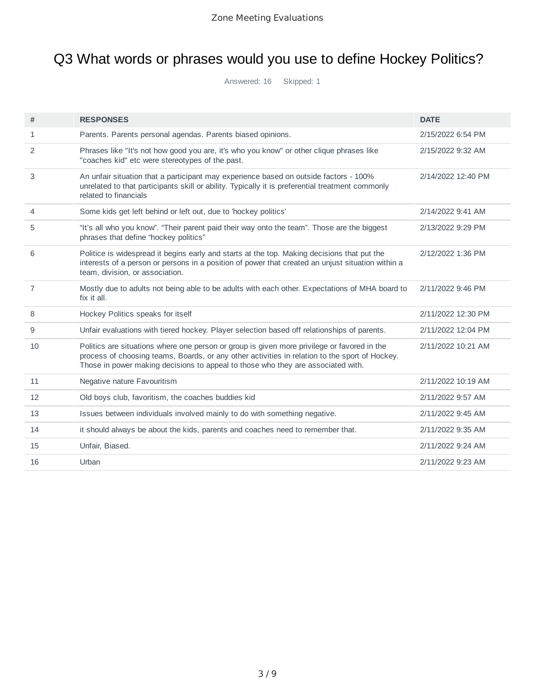## Q3 What words or phrases would you use to define Hockey Politics?

| #              | <b>RESPONSES</b>                                                                                                                                                                                                                                                                  | <b>DATE</b>        |
|----------------|-----------------------------------------------------------------------------------------------------------------------------------------------------------------------------------------------------------------------------------------------------------------------------------|--------------------|
| 1              | Parents. Parents personal agendas. Parents biased opinions.                                                                                                                                                                                                                       | 2/15/2022 6:54 PM  |
| $\overline{2}$ | Phrases like "It's not how good you are, it's who you know" or other clique phrases like<br>"coaches kid" etc were stereotypes of the past.                                                                                                                                       | 2/15/2022 9:32 AM  |
| 3              | An unfair situation that a participant may experience based on outside factors - 100%<br>unrelated to that participants skill or ability. Typically it is preferential treatment commonly<br>related to financials                                                                | 2/14/2022 12:40 PM |
| $\overline{4}$ | Some kids get left behind or left out, due to 'hockey politics'                                                                                                                                                                                                                   | 2/14/2022 9:41 AM  |
| 5              | "It's all who you know". "Their parent paid their way onto the team". Those are the biggest<br>phrases that define "hockey politics"                                                                                                                                              | 2/13/2022 9:29 PM  |
| 6              | Politice is widespread it begins early and starts at the top. Making decisions that put the<br>interests of a person or persons in a position of power that created an unjust situation within a<br>team, division, or association.                                               | 2/12/2022 1:36 PM  |
| $\overline{7}$ | Mostly due to adults not being able to be adults with each other. Expectations of MHA board to<br>fix it all.                                                                                                                                                                     | 2/11/2022 9:46 PM  |
| 8              | Hockey Politics speaks for itself                                                                                                                                                                                                                                                 | 2/11/2022 12:30 PM |
| 9              | Unfair evaluations with tiered hockey. Player selection based off relationships of parents.                                                                                                                                                                                       | 2/11/2022 12:04 PM |
| 10             | Politics are situations where one person or group is given more privilege or favored in the<br>process of choosing teams, Boards, or any other activities in relation to the sport of Hockey.<br>Those in power making decisions to appeal to those who they are associated with. | 2/11/2022 10:21 AM |
| 11             | Negative nature Favouritism                                                                                                                                                                                                                                                       | 2/11/2022 10:19 AM |
| 12             | Old boys club, favoritism, the coaches buddies kid                                                                                                                                                                                                                                | 2/11/2022 9:57 AM  |
| 13             | Issues between individuals involved mainly to do with something negative.                                                                                                                                                                                                         | 2/11/2022 9:45 AM  |
| 14             | it should always be about the kids, parents and coaches need to remember that.                                                                                                                                                                                                    | 2/11/2022 9:35 AM  |
| 15             | Unfair, Biased.                                                                                                                                                                                                                                                                   | 2/11/2022 9:24 AM  |
| 16             | Urban                                                                                                                                                                                                                                                                             | 2/11/2022 9:23 AM  |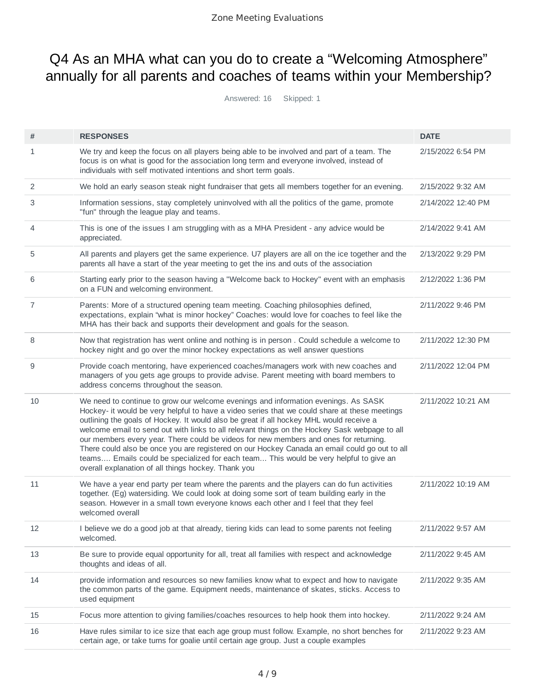### Q4 As an MHA what can you do to create a "Welcoming Atmosphere" annually for all parents and coaches of teams within your Membership?

| #  | <b>RESPONSES</b>                                                                                                                                                                                                                                                                                                                                                                                                                                                                                                                                                                                                                                                                                                          | <b>DATE</b>        |
|----|---------------------------------------------------------------------------------------------------------------------------------------------------------------------------------------------------------------------------------------------------------------------------------------------------------------------------------------------------------------------------------------------------------------------------------------------------------------------------------------------------------------------------------------------------------------------------------------------------------------------------------------------------------------------------------------------------------------------------|--------------------|
| 1  | We try and keep the focus on all players being able to be involved and part of a team. The<br>focus is on what is good for the association long term and everyone involved, instead of<br>individuals with self motivated intentions and short term goals.                                                                                                                                                                                                                                                                                                                                                                                                                                                                | 2/15/2022 6:54 PM  |
| 2  | We hold an early season steak night fundraiser that gets all members together for an evening.                                                                                                                                                                                                                                                                                                                                                                                                                                                                                                                                                                                                                             | 2/15/2022 9:32 AM  |
| 3  | Information sessions, stay completely uninvolved with all the politics of the game, promote<br>"fun" through the league play and teams.                                                                                                                                                                                                                                                                                                                                                                                                                                                                                                                                                                                   | 2/14/2022 12:40 PM |
| 4  | This is one of the issues I am struggling with as a MHA President - any advice would be<br>appreciated.                                                                                                                                                                                                                                                                                                                                                                                                                                                                                                                                                                                                                   | 2/14/2022 9:41 AM  |
| 5  | All parents and players get the same experience. U7 players are all on the ice together and the<br>parents all have a start of the year meeting to get the ins and outs of the association                                                                                                                                                                                                                                                                                                                                                                                                                                                                                                                                | 2/13/2022 9:29 PM  |
| 6  | Starting early prior to the season having a "Welcome back to Hockey" event with an emphasis<br>on a FUN and welcoming environment.                                                                                                                                                                                                                                                                                                                                                                                                                                                                                                                                                                                        | 2/12/2022 1:36 PM  |
| 7  | Parents: More of a structured opening team meeting. Coaching philosophies defined,<br>expectations, explain "what is minor hockey" Coaches: would love for coaches to feel like the<br>MHA has their back and supports their development and goals for the season.                                                                                                                                                                                                                                                                                                                                                                                                                                                        | 2/11/2022 9:46 PM  |
| 8  | Now that registration has went online and nothing is in person. Could schedule a welcome to<br>hockey night and go over the minor hockey expectations as well answer questions                                                                                                                                                                                                                                                                                                                                                                                                                                                                                                                                            | 2/11/2022 12:30 PM |
| 9  | Provide coach mentoring, have experienced coaches/managers work with new coaches and<br>managers of you gets age groups to provide advise. Parent meeting with board members to<br>address concerns throughout the season.                                                                                                                                                                                                                                                                                                                                                                                                                                                                                                | 2/11/2022 12:04 PM |
| 10 | We need to continue to grow our welcome evenings and information evenings. As SASK<br>Hockey- it would be very helpful to have a video series that we could share at these meetings<br>outlining the goals of Hockey. It would also be great if all hockey MHL would receive a<br>welcome email to send out with links to all relevant things on the Hockey Sask webpage to all<br>our members every year. There could be videos for new members and ones for returning.<br>There could also be once you are registered on our Hockey Canada an email could go out to all<br>teams Emails could be specialized for each team This would be very helpful to give an<br>overall explanation of all things hockey. Thank you | 2/11/2022 10:21 AM |
| 11 | We have a year end party per team where the parents and the players can do fun activities<br>together. (Eg) watersiding. We could look at doing some sort of team building early in the<br>season. However in a small town everyone knows each other and I feel that they feel<br>welcomed overall                                                                                                                                                                                                                                                                                                                                                                                                                        | 2/11/2022 10:19 AM |
| 12 | I believe we do a good job at that already, tiering kids can lead to some parents not feeling<br>welcomed.                                                                                                                                                                                                                                                                                                                                                                                                                                                                                                                                                                                                                | 2/11/2022 9:57 AM  |
| 13 | Be sure to provide equal opportunity for all, treat all families with respect and acknowledge<br>thoughts and ideas of all.                                                                                                                                                                                                                                                                                                                                                                                                                                                                                                                                                                                               | 2/11/2022 9:45 AM  |
| 14 | provide information and resources so new families know what to expect and how to navigate<br>the common parts of the game. Equipment needs, maintenance of skates, sticks. Access to<br>used equipment                                                                                                                                                                                                                                                                                                                                                                                                                                                                                                                    | 2/11/2022 9:35 AM  |
| 15 | Focus more attention to giving families/coaches resources to help hook them into hockey.                                                                                                                                                                                                                                                                                                                                                                                                                                                                                                                                                                                                                                  | 2/11/2022 9:24 AM  |
| 16 | Have rules similar to ice size that each age group must follow. Example, no short benches for<br>certain age, or take turns for goalie until certain age group. Just a couple examples                                                                                                                                                                                                                                                                                                                                                                                                                                                                                                                                    | 2/11/2022 9:23 AM  |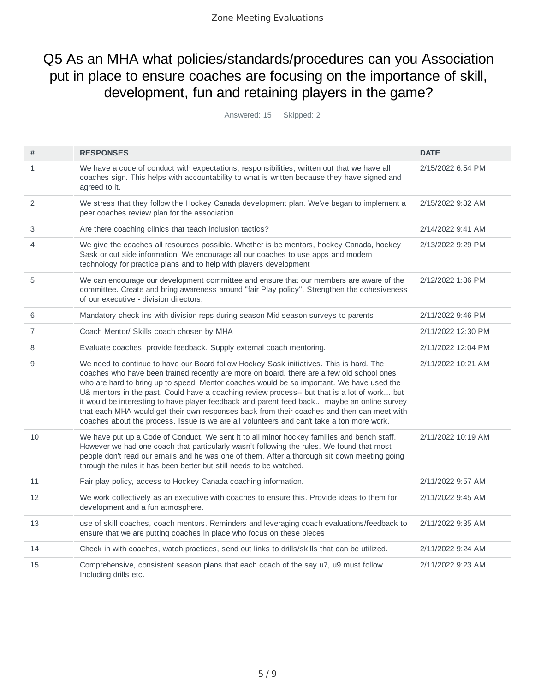#### Q5 As an MHA what policies/standards/procedures can you Association put in place to ensure coaches are focusing on the importance of skill, development, fun and retaining players in the game?

| #              | <b>RESPONSES</b>                                                                                                                                                                                                                                                                                                                                                                                                                                                                                                                                                                                                                                                            | <b>DATE</b>        |
|----------------|-----------------------------------------------------------------------------------------------------------------------------------------------------------------------------------------------------------------------------------------------------------------------------------------------------------------------------------------------------------------------------------------------------------------------------------------------------------------------------------------------------------------------------------------------------------------------------------------------------------------------------------------------------------------------------|--------------------|
| $\mathbf{1}$   | We have a code of conduct with expectations, responsibilities, written out that we have all<br>coaches sign. This helps with accountability to what is written because they have signed and<br>agreed to it.                                                                                                                                                                                                                                                                                                                                                                                                                                                                | 2/15/2022 6:54 PM  |
| 2              | We stress that they follow the Hockey Canada development plan. We've began to implement a<br>peer coaches review plan for the association.                                                                                                                                                                                                                                                                                                                                                                                                                                                                                                                                  | 2/15/2022 9:32 AM  |
| 3              | Are there coaching clinics that teach inclusion tactics?                                                                                                                                                                                                                                                                                                                                                                                                                                                                                                                                                                                                                    | 2/14/2022 9:41 AM  |
| 4              | We give the coaches all resources possible. Whether is be mentors, hockey Canada, hockey<br>Sask or out side information. We encourage all our coaches to use apps and modern<br>technology for practice plans and to help with players development                                                                                                                                                                                                                                                                                                                                                                                                                         | 2/13/2022 9:29 PM  |
| 5              | We can encourage our development committee and ensure that our members are aware of the<br>committee. Create and bring awareness around "fair Play policy". Strengthen the cohesiveness<br>of our executive - division directors.                                                                                                                                                                                                                                                                                                                                                                                                                                           | 2/12/2022 1:36 PM  |
| 6              | Mandatory check ins with division reps during season Mid season surveys to parents                                                                                                                                                                                                                                                                                                                                                                                                                                                                                                                                                                                          | 2/11/2022 9:46 PM  |
| $\overline{7}$ | Coach Mentor/ Skills coach chosen by MHA                                                                                                                                                                                                                                                                                                                                                                                                                                                                                                                                                                                                                                    | 2/11/2022 12:30 PM |
| 8              | Evaluate coaches, provide feedback. Supply external coach mentoring.                                                                                                                                                                                                                                                                                                                                                                                                                                                                                                                                                                                                        | 2/11/2022 12:04 PM |
| 9              | We need to continue to have our Board follow Hockey Sask initiatives. This is hard. The<br>coaches who have been trained recently are more on board. there are a few old school ones<br>who are hard to bring up to speed. Mentor coaches would be so important. We have used the<br>U& mentors in the past. Could have a coaching review process-- but that is a lot of work but<br>it would be interesting to have player feedback and parent feed back maybe an online survey<br>that each MHA would get their own responses back from their coaches and then can meet with<br>coaches about the process. Issue is we are all volunteers and can't take a ton more work. | 2/11/2022 10:21 AM |
| 10             | We have put up a Code of Conduct. We sent it to all minor hockey families and bench staff.<br>However we had one coach that particularly wasn't following the rules. We found that most<br>people don't read our emails and he was one of them. After a thorough sit down meeting going<br>through the rules it has been better but still needs to be watched.                                                                                                                                                                                                                                                                                                              | 2/11/2022 10:19 AM |
| 11             | Fair play policy, access to Hockey Canada coaching information.                                                                                                                                                                                                                                                                                                                                                                                                                                                                                                                                                                                                             | 2/11/2022 9:57 AM  |
| 12             | We work collectively as an executive with coaches to ensure this. Provide ideas to them for<br>development and a fun atmosphere.                                                                                                                                                                                                                                                                                                                                                                                                                                                                                                                                            | 2/11/2022 9:45 AM  |
| 13             | use of skill coaches, coach mentors. Reminders and leveraging coach evaluations/feedback to<br>ensure that we are putting coaches in place who focus on these pieces                                                                                                                                                                                                                                                                                                                                                                                                                                                                                                        | 2/11/2022 9:35 AM  |
| 14             | Check in with coaches, watch practices, send out links to drills/skills that can be utilized.                                                                                                                                                                                                                                                                                                                                                                                                                                                                                                                                                                               | 2/11/2022 9:24 AM  |
| 15             | Comprehensive, consistent season plans that each coach of the say u7, u9 must follow.<br>Including drills etc.                                                                                                                                                                                                                                                                                                                                                                                                                                                                                                                                                              | 2/11/2022 9:23 AM  |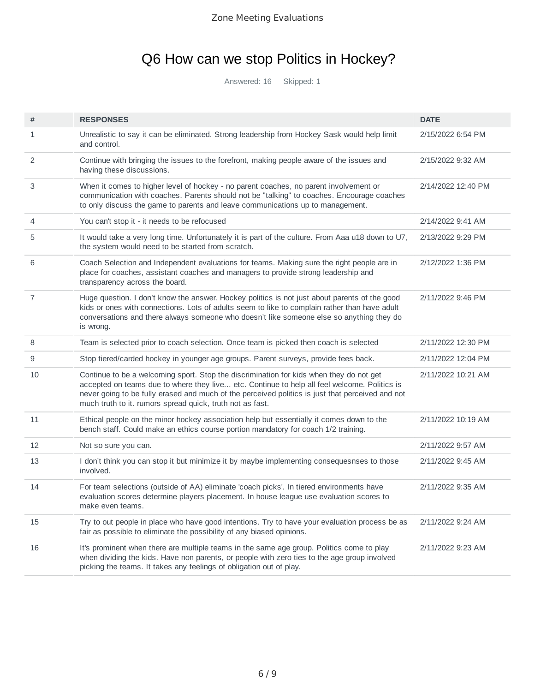## Q6 How can we stop Politics in Hockey?

| #              | <b>RESPONSES</b>                                                                                                                                                                                                                                                                                                                                         | <b>DATE</b>        |
|----------------|----------------------------------------------------------------------------------------------------------------------------------------------------------------------------------------------------------------------------------------------------------------------------------------------------------------------------------------------------------|--------------------|
| $\mathbf{1}$   | Unrealistic to say it can be eliminated. Strong leadership from Hockey Sask would help limit<br>and control.                                                                                                                                                                                                                                             | 2/15/2022 6:54 PM  |
| 2              | Continue with bringing the issues to the forefront, making people aware of the issues and<br>having these discussions.                                                                                                                                                                                                                                   | 2/15/2022 9:32 AM  |
| 3              | When it comes to higher level of hockey - no parent coaches, no parent involvement or<br>communication with coaches. Parents should not be "talking" to coaches. Encourage coaches<br>to only discuss the game to parents and leave communications up to management.                                                                                     | 2/14/2022 12:40 PM |
| 4              | You can't stop it - it needs to be refocused                                                                                                                                                                                                                                                                                                             | 2/14/2022 9:41 AM  |
| 5              | It would take a very long time. Unfortunately it is part of the culture. From Aaa u18 down to U7,<br>the system would need to be started from scratch.                                                                                                                                                                                                   | 2/13/2022 9:29 PM  |
| 6              | Coach Selection and Independent evaluations for teams. Making sure the right people are in<br>place for coaches, assistant coaches and managers to provide strong leadership and<br>transparency across the board.                                                                                                                                       | 2/12/2022 1:36 PM  |
| $\overline{7}$ | Huge question. I don't know the answer. Hockey politics is not just about parents of the good<br>kids or ones with connections. Lots of adults seem to like to complain rather than have adult<br>conversations and there always someone who doesn't like someone else so anything they do<br>is wrong.                                                  | 2/11/2022 9:46 PM  |
| 8              | Team is selected prior to coach selection. Once team is picked then coach is selected                                                                                                                                                                                                                                                                    | 2/11/2022 12:30 PM |
| 9              | Stop tiered/carded hockey in younger age groups. Parent surveys, provide fees back.                                                                                                                                                                                                                                                                      | 2/11/2022 12:04 PM |
| 10             | Continue to be a welcoming sport. Stop the discrimination for kids when they do not get<br>accepted on teams due to where they live etc. Continue to help all feel welcome. Politics is<br>never going to be fully erased and much of the perceived politics is just that perceived and not<br>much truth to it. rumors spread quick, truth not as fast. | 2/11/2022 10:21 AM |
| 11             | Ethical people on the minor hockey association help but essentially it comes down to the<br>bench staff. Could make an ethics course portion mandatory for coach 1/2 training.                                                                                                                                                                           | 2/11/2022 10:19 AM |
| 12             | Not so sure you can.                                                                                                                                                                                                                                                                                                                                     | 2/11/2022 9:57 AM  |
| 13             | I don't think you can stop it but minimize it by maybe implementing consequesnses to those<br>involved.                                                                                                                                                                                                                                                  | 2/11/2022 9:45 AM  |
| 14             | For team selections (outside of AA) eliminate 'coach picks'. In tiered environments have<br>evaluation scores determine players placement. In house league use evaluation scores to<br>make even teams.                                                                                                                                                  | 2/11/2022 9:35 AM  |
| 15             | Try to out people in place who have good intentions. Try to have your evaluation process be as<br>fair as possible to eliminate the possibility of any biased opinions.                                                                                                                                                                                  | 2/11/2022 9:24 AM  |
| 16             | It's prominent when there are multiple teams in the same age group. Politics come to play<br>when dividing the kids. Have non parents, or people with zero ties to the age group involved<br>picking the teams. It takes any feelings of obligation out of play.                                                                                         | 2/11/2022 9:23 AM  |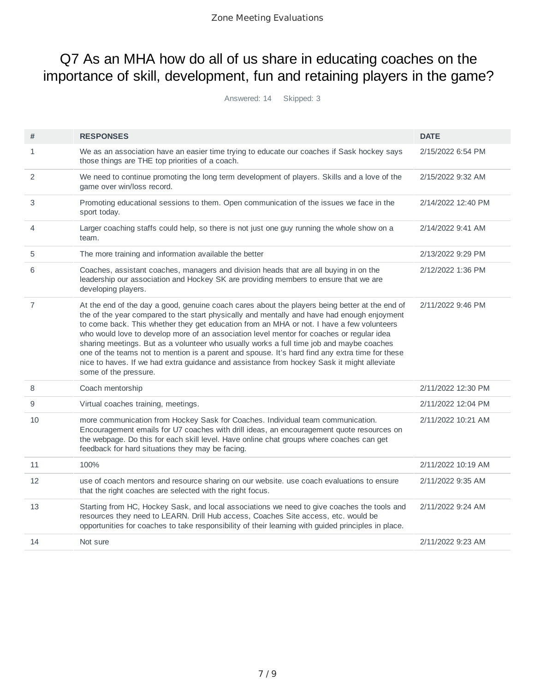### Q7 As an MHA how do all of us share in educating coaches on the importance of skill, development, fun and retaining players in the game?

| #              | <b>RESPONSES</b>                                                                                                                                                                                                                                                                                                                                                                                                                                                                                                                                                                                                                                                                                              | <b>DATE</b>        |
|----------------|---------------------------------------------------------------------------------------------------------------------------------------------------------------------------------------------------------------------------------------------------------------------------------------------------------------------------------------------------------------------------------------------------------------------------------------------------------------------------------------------------------------------------------------------------------------------------------------------------------------------------------------------------------------------------------------------------------------|--------------------|
| $\mathbf{1}$   | We as an association have an easier time trying to educate our coaches if Sask hockey says<br>those things are THE top priorities of a coach.                                                                                                                                                                                                                                                                                                                                                                                                                                                                                                                                                                 | 2/15/2022 6:54 PM  |
| 2              | We need to continue promoting the long term development of players. Skills and a love of the<br>game over win/loss record.                                                                                                                                                                                                                                                                                                                                                                                                                                                                                                                                                                                    | 2/15/2022 9:32 AM  |
| 3              | Promoting educational sessions to them. Open communication of the issues we face in the<br>sport today.                                                                                                                                                                                                                                                                                                                                                                                                                                                                                                                                                                                                       | 2/14/2022 12:40 PM |
| 4              | Larger coaching staffs could help, so there is not just one guy running the whole show on a<br>team.                                                                                                                                                                                                                                                                                                                                                                                                                                                                                                                                                                                                          | 2/14/2022 9:41 AM  |
| 5              | The more training and information available the better                                                                                                                                                                                                                                                                                                                                                                                                                                                                                                                                                                                                                                                        | 2/13/2022 9:29 PM  |
| 6              | Coaches, assistant coaches, managers and division heads that are all buying in on the<br>leadership our association and Hockey SK are providing members to ensure that we are<br>developing players.                                                                                                                                                                                                                                                                                                                                                                                                                                                                                                          | 2/12/2022 1:36 PM  |
| $\overline{7}$ | At the end of the day a good, genuine coach cares about the players being better at the end of<br>the of the year compared to the start physically and mentally and have had enough enjoyment<br>to come back. This whether they get education from an MHA or not. I have a few volunteers<br>who would love to develop more of an association level mentor for coaches or regular idea<br>sharing meetings. But as a volunteer who usually works a full time job and maybe coaches<br>one of the teams not to mention is a parent and spouse. It's hard find any extra time for these<br>nice to haves. If we had extra guidance and assistance from hockey Sask it might alleviate<br>some of the pressure. | 2/11/2022 9:46 PM  |
| 8              | Coach mentorship                                                                                                                                                                                                                                                                                                                                                                                                                                                                                                                                                                                                                                                                                              | 2/11/2022 12:30 PM |
| 9              | Virtual coaches training, meetings.                                                                                                                                                                                                                                                                                                                                                                                                                                                                                                                                                                                                                                                                           | 2/11/2022 12:04 PM |
| 10             | more communication from Hockey Sask for Coaches. Individual team communication.<br>Encouragement emails for U7 coaches with drill ideas, an encouragement quote resources on<br>the webpage. Do this for each skill level. Have online chat groups where coaches can get<br>feedback for hard situations they may be facing.                                                                                                                                                                                                                                                                                                                                                                                  | 2/11/2022 10:21 AM |
| 11             | 100%                                                                                                                                                                                                                                                                                                                                                                                                                                                                                                                                                                                                                                                                                                          | 2/11/2022 10:19 AM |
| 12             | use of coach mentors and resource sharing on our website. use coach evaluations to ensure<br>that the right coaches are selected with the right focus.                                                                                                                                                                                                                                                                                                                                                                                                                                                                                                                                                        | 2/11/2022 9:35 AM  |
| 13             | Starting from HC, Hockey Sask, and local associations we need to give coaches the tools and<br>resources they need to LEARN. Drill Hub access, Coaches Site access, etc. would be<br>opportunities for coaches to take responsibility of their learning with guided principles in place.                                                                                                                                                                                                                                                                                                                                                                                                                      | 2/11/2022 9:24 AM  |
| 14             | Not sure                                                                                                                                                                                                                                                                                                                                                                                                                                                                                                                                                                                                                                                                                                      | 2/11/2022 9:23 AM  |
|                |                                                                                                                                                                                                                                                                                                                                                                                                                                                                                                                                                                                                                                                                                                               |                    |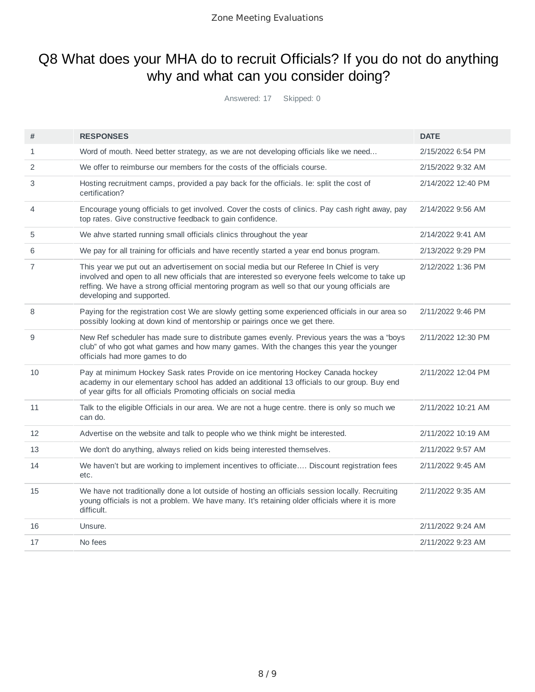### Q8 What does your MHA do to recruit Officials? If you do not do anything why and what can you consider doing?

| #              | <b>RESPONSES</b>                                                                                                                                                                                                                                                                                                       | <b>DATE</b>        |
|----------------|------------------------------------------------------------------------------------------------------------------------------------------------------------------------------------------------------------------------------------------------------------------------------------------------------------------------|--------------------|
| $\mathbf{1}$   | Word of mouth. Need better strategy, as we are not developing officials like we need                                                                                                                                                                                                                                   | 2/15/2022 6:54 PM  |
| 2              | We offer to reimburse our members for the costs of the officials course.                                                                                                                                                                                                                                               | 2/15/2022 9:32 AM  |
| 3              | Hosting recruitment camps, provided a pay back for the officials. Ie: split the cost of<br>certification?                                                                                                                                                                                                              | 2/14/2022 12:40 PM |
| $\overline{4}$ | Encourage young officials to get involved. Cover the costs of clinics. Pay cash right away, pay<br>top rates. Give constructive feedback to gain confidence.                                                                                                                                                           | 2/14/2022 9:56 AM  |
| 5              | We ahve started running small officials clinics throughout the year                                                                                                                                                                                                                                                    | 2/14/2022 9:41 AM  |
| 6              | We pay for all training for officials and have recently started a year end bonus program.                                                                                                                                                                                                                              | 2/13/2022 9:29 PM  |
| $\overline{7}$ | This year we put out an advertisement on social media but our Referee In Chief is very<br>involved and open to all new officials that are interested so everyone feels welcome to take up<br>reffing. We have a strong official mentoring program as well so that our young officials are<br>developing and supported. | 2/12/2022 1:36 PM  |
| 8              | Paying for the registration cost We are slowly getting some experienced officials in our area so<br>possibly looking at down kind of mentorship or pairings once we get there.                                                                                                                                         | 2/11/2022 9:46 PM  |
| 9              | New Ref scheduler has made sure to distribute games evenly. Previous years the was a "boys<br>club" of who got what games and how many games. With the changes this year the younger<br>officials had more games to do                                                                                                 | 2/11/2022 12:30 PM |
| 10             | Pay at minimum Hockey Sask rates Provide on ice mentoring Hockey Canada hockey<br>academy in our elementary school has added an additional 13 officials to our group. Buy end<br>of year gifts for all officials Promoting officials on social media                                                                   | 2/11/2022 12:04 PM |
| 11             | Talk to the eligible Officials in our area. We are not a huge centre. there is only so much we<br>can do.                                                                                                                                                                                                              | 2/11/2022 10:21 AM |
| 12             | Advertise on the website and talk to people who we think might be interested.                                                                                                                                                                                                                                          | 2/11/2022 10:19 AM |
| 13             | We don't do anything, always relied on kids being interested themselves.                                                                                                                                                                                                                                               | 2/11/2022 9:57 AM  |
| 14             | We haven't but are working to implement incentives to officiate Discount registration fees<br>etc.                                                                                                                                                                                                                     | 2/11/2022 9:45 AM  |
| 15             | We have not traditionally done a lot outside of hosting an officials session locally. Recruiting<br>young officials is not a problem. We have many. It's retaining older officials where it is more<br>difficult.                                                                                                      | 2/11/2022 9:35 AM  |
| 16             | Unsure.                                                                                                                                                                                                                                                                                                                | 2/11/2022 9:24 AM  |
| 17             | No fees                                                                                                                                                                                                                                                                                                                | 2/11/2022 9:23 AM  |